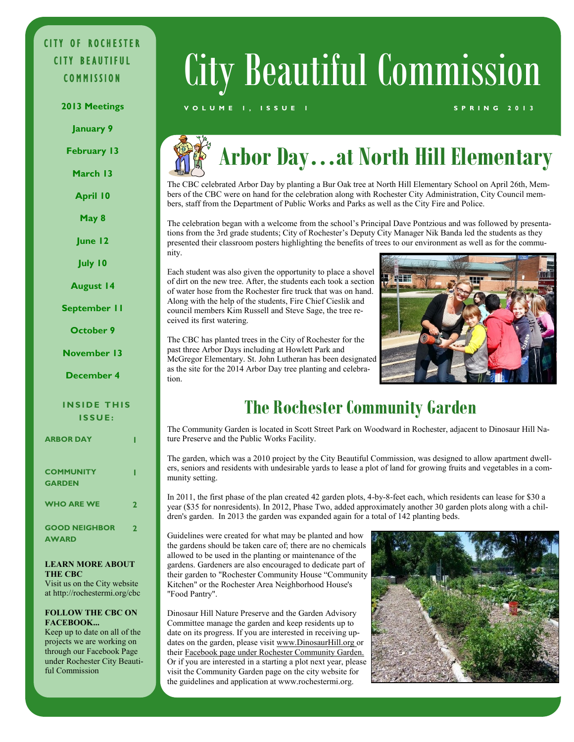## CITY OF ROCHESTER CITY BEAUTIFUL

**January 9**

**February 13**

**March 13**

- **April 10**
- **May 8**

**June 12**

**July 10**

**August 14**

**September 11**

**October 9**

**November 13**

**December 4**

#### **INSIDE THIS I S S U E :**

**ARBOR DAY** 

| <b>COMMUNITY</b><br><b>GARDEN</b>    |              |
|--------------------------------------|--------------|
| <b>WHO ARE WE</b>                    | $\mathbf{z}$ |
| <b>GOOD NEIGHBOR</b><br><b>AWARD</b> | 2            |

#### **LEARN MORE ABOUT THE CBC**

Visit us on the City website at http://rochestermi.org/cbc

#### **FOLLOW THE CBC ON FACEBOOK...**

Keep up to date on all of the projects we are working on through our Facebook Page under Rochester City Beautiful Commission

# COMMISSION City Beautiful Commission

#### **2013 Meetings V O L U M E 1 , I S S U E 1 S P R I N G 2 0 1 3**

## **Arbor Day…at North Hill Elementary**

The CBC celebrated Arbor Day by planting a Bur Oak tree at North Hill Elementary School on April 26th, Members of the CBC were on hand for the celebration along with Rochester City Administration, City Council members, staff from the Department of Public Works and Parks as well as the City Fire and Police.

The celebration began with a welcome from the school's Principal Dave Pontzious and was followed by presentations from the 3rd grade students; City of Rochester's Deputy City Manager Nik Banda led the students as they presented their classroom posters highlighting the benefits of trees to our environment as well as for the community.

Each student was also given the opportunity to place a shovel of dirt on the new tree. After, the students each took a section of water hose from the Rochester fire truck that was on hand. Along with the help of the students, Fire Chief Cieslik and council members Kim Russell and Steve Sage, the tree received its first watering.

The CBC has planted trees in the City of Rochester for the past three Arbor Days including at Howlett Park and McGregor Elementary. St. John Lutheran has been designated as the site for the 2014 Arbor Day tree planting and celebration.



## **The Rochester Community Garden**

The Community Garden is located in Scott Street Park on Woodward in Rochester, adjacent to Dinosaur Hill Nature Preserve and the Public Works Facility.

The garden, which was a 2010 project by the City Beautiful Commission, was designed to allow apartment dwellers, seniors and residents with undesirable yards to lease a plot of land for growing fruits and vegetables in a community setting.

In 2011, the first phase of the plan created 42 garden plots, 4-by-8-feet each, which residents can lease for \$30 a year (\$35 for nonresidents). In 2012, Phase Two, added approximately another 30 garden plots along with a children's garden. In 2013 the garden was expanded again for a total of 142 planting beds.

Guidelines were created for what may be planted and how the gardens should be taken care of; there are no chemicals allowed to be used in the planting or maintenance of the gardens. Gardeners are also encouraged to dedicate part of their garden to "Rochester Community House "Community Kitchen" or the Rochester Area Neighborhood House's "Food Pantry".

Dinosaur Hill Nature Preserve and the Garden Advisory Committee manage the garden and keep residents up to date on its progress. If you are interested in receiving updates on the garden, please visit www.DinosaurHill.org or their Facebook page under Rochester Community Garden. Or if you are interested in a starting a plot next year, please visit the Community Garden page on the city website for the guidelines and application at www.rochestermi.org.